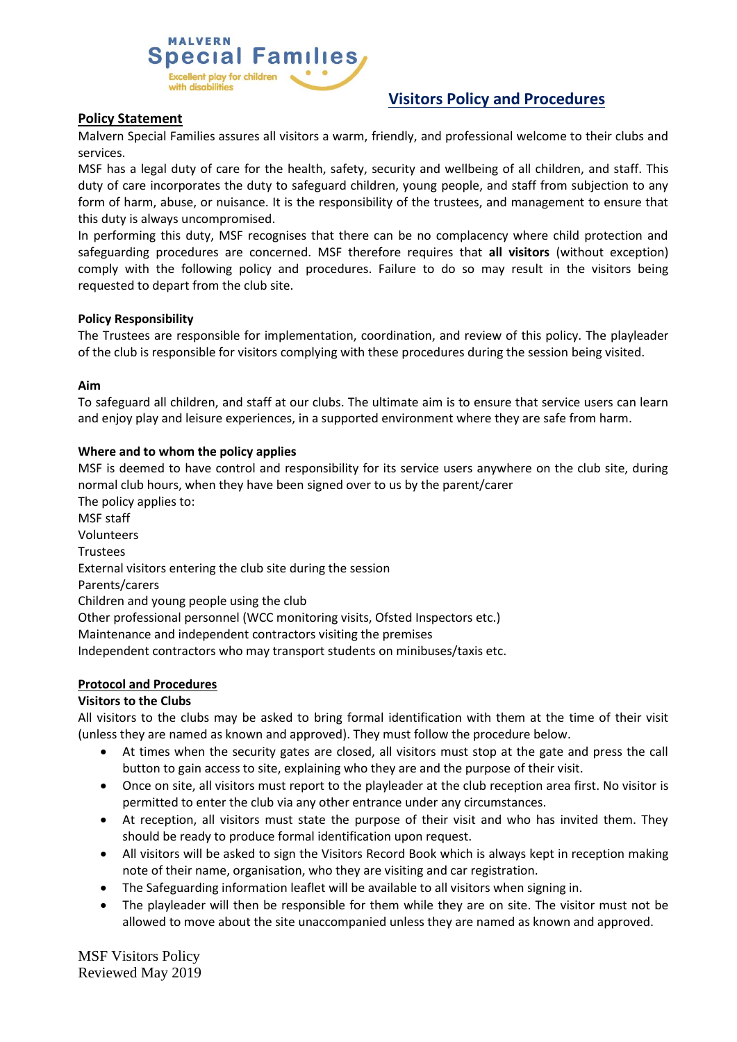#### **MALVERN Special Families** cellent play for children with disabilities

# **Visitors Policy and Procedures**

# **Policy Statement**

Malvern Special Families assures all visitors a warm, friendly, and professional welcome to their clubs and services.

MSF has a legal duty of care for the health, safety, security and wellbeing of all children, and staff. This duty of care incorporates the duty to safeguard children, young people, and staff from subjection to any form of harm, abuse, or nuisance. It is the responsibility of the trustees, and management to ensure that this duty is always uncompromised.

In performing this duty, MSF recognises that there can be no complacency where child protection and safeguarding procedures are concerned. MSF therefore requires that **all visitors** (without exception) comply with the following policy and procedures. Failure to do so may result in the visitors being requested to depart from the club site.

# **Policy Responsibility**

The Trustees are responsible for implementation, coordination, and review of this policy. The playleader of the club is responsible for visitors complying with these procedures during the session being visited.

#### **Aim**

To safeguard all children, and staff at our clubs. The ultimate aim is to ensure that service users can learn and enjoy play and leisure experiences, in a supported environment where they are safe from harm.

# **Where and to whom the policy applies**

MSF is deemed to have control and responsibility for its service users anywhere on the club site, during normal club hours, when they have been signed over to us by the parent/carer The policy applies to: MSF staff Volunteers Trustees External visitors entering the club site during the session Parents/carers Children and young people using the club Other professional personnel (WCC monitoring visits, Ofsted Inspectors etc.) Maintenance and independent contractors visiting the premises Independent contractors who may transport students on minibuses/taxis etc.

# **Protocol and Procedures**

# **Visitors to the Clubs**

All visitors to the clubs may be asked to bring formal identification with them at the time of their visit (unless they are named as known and approved). They must follow the procedure below.

- At times when the security gates are closed, all visitors must stop at the gate and press the call button to gain access to site, explaining who they are and the purpose of their visit.
- Once on site, all visitors must report to the playleader at the club reception area first. No visitor is permitted to enter the club via any other entrance under any circumstances.
- At reception, all visitors must state the purpose of their visit and who has invited them. They should be ready to produce formal identification upon request.
- All visitors will be asked to sign the Visitors Record Book which is always kept in reception making note of their name, organisation, who they are visiting and car registration.
- The Safeguarding information leaflet will be available to all visitors when signing in.
- The playleader will then be responsible for them while they are on site. The visitor must not be allowed to move about the site unaccompanied unless they are named as known and approved.

MSF Visitors Policy Reviewed May 2019